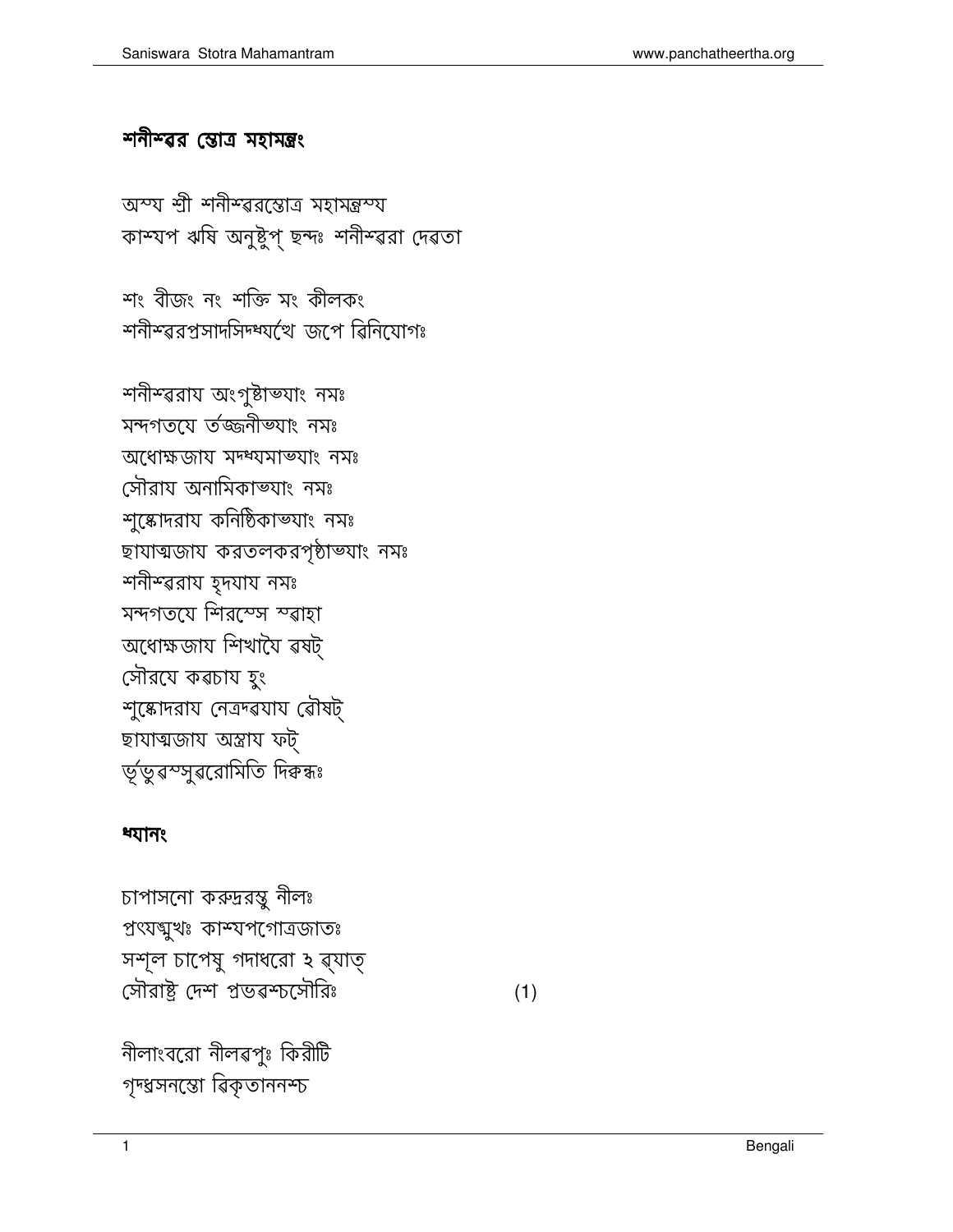নীলাংবরো নীলৱপুঃ কিরীটি গৃদ্ধসনন্তো ৱিকৃতাননশ্চ

চাপাসনো করুদ্ররন্তু নীলঃ প্ৰৎয়খুখঃ কাম্যপগোত্ৰজাতঃ সশূল চাপেষু গদাধরো হ ৱ্যাত্ সৌরাষ্ট্র দেশ প্রভৱশ্চসৌরিঃ

## ধ্যানং

শনীশ্বরায় অংগুষ্টাভ্যাং নমঃ মন্দগতয়ে ৰ্তজ্জনীভ্যাং নমঃ অধোক্ষজায় মদ্ধ্যমাভ্যাং নমঃ সৌরায অনামিকাভ্যাং নমঃ শুষ্কোদরায কনিষ্ঠিকাভ্যাং নমঃ ছাযাত্মজায করতলকরপৃষ্ঠাভ্যাং নমঃ শনীশ্বরায হৃদযায নসঃ মন্দগতযে শিরস্তেস স্বাহা অধোক্ষজায শিখাযৈ ৱষট্ সৌরযে কৱচায হুং শুষ্কোদরায নেত্রদ্ৱযায ৱৌষট্ ছাযাত্মজায় অস্ত্ৰায় ফট্ ৰ্ভূ'ডুৱস্সুৱরোমিতি দিক্বস্কঃ

শং বীজং নং শক্তি মং কীলকং শনীশ্বরপ্রসাদসিদ্ধ্যপ্রে জপে ৱিনিযোগঃ

অস্য শ্রী শনীশ্বরন্তোত্র মহামন্ত্রস্য কাস্যপ ঋষি অনুষ্টুপ্ ছন্দঃ শনীস্ৱরা দেৱতা

## শনীশ্বর স্তোত্র মহামন্ত্রং

 $(1)$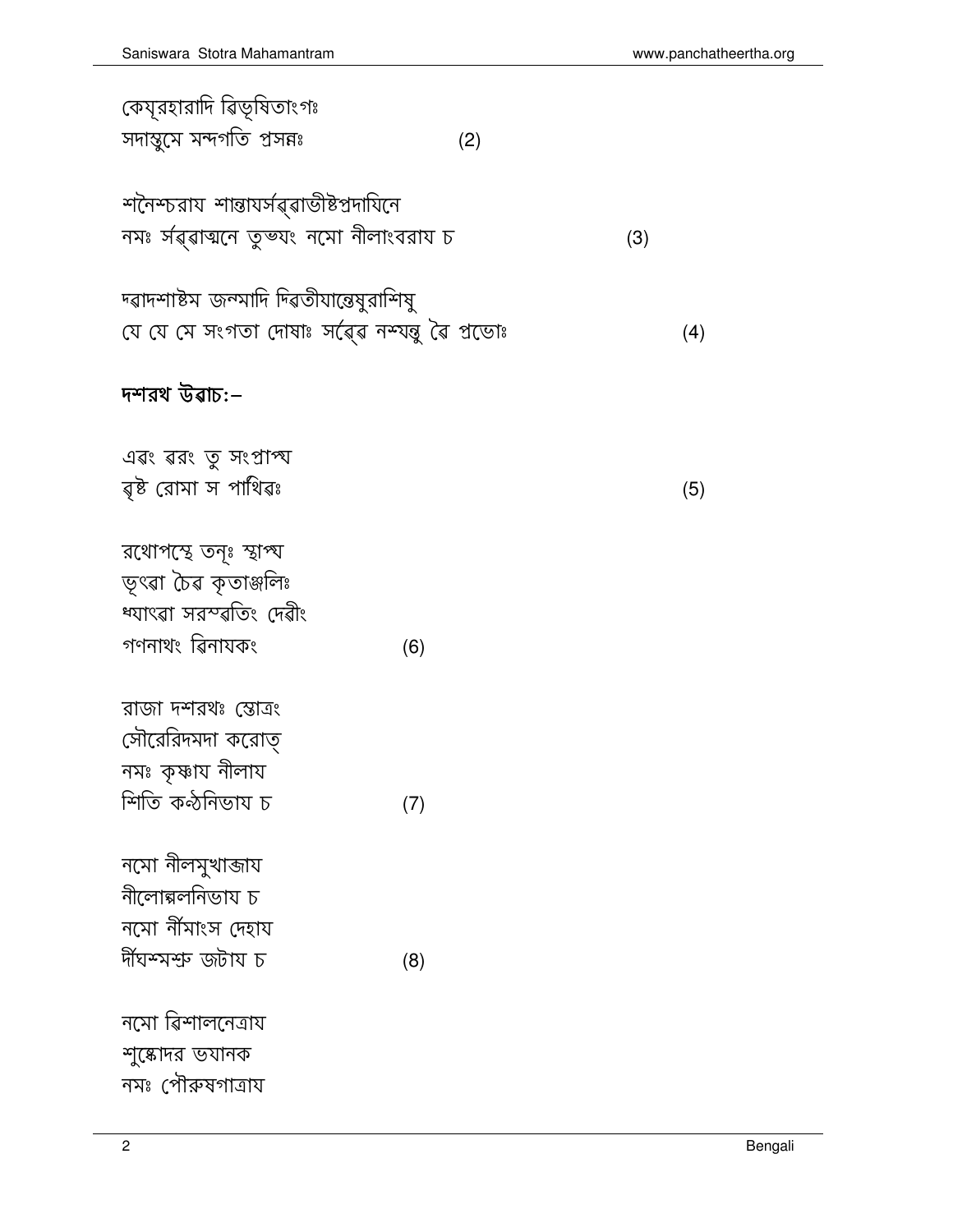| কেযূরহারাদি ৱিভূষিতাংগঃ                        |     |
|------------------------------------------------|-----|
| সদাম্বুসে মন্দর্গতি প্রসন্নঃ                   | (2) |
|                                                |     |
| শনৈশ্চরায শান্তাযর্সৱ্ৱাডীষ্টপ্রদাযিনে         |     |
| নমঃ র্যৱ্ৱাত্মনে তুভ্যং নমো নীলাংবরায চ        |     |
|                                                |     |
| দ্ৱাদশাষ্টম জন্মাদি দিৱতীযান্তেমুরাশিমু        |     |
| যে যে সে সংগতা দোষাঃ সৰ্ৱেৱ নশ্যন্তু ৱৈ প্ৰডোঃ |     |
|                                                |     |
| দশরথ উৱাচ:–                                    |     |
| এৱং ৱরং তু সংপ্রাপ্য                           |     |
| ৱ্ষ্ট রোমা স পাথিৱঃ                            |     |
|                                                |     |
| রথোপস্থে তনৃঃ স্থাপ্য                          |     |
| ভৃৎৱা চৈৱ কৃতাঞ্জলিঃ                           |     |
| ৰ্শ্মাৎৱা সরস্ব্বতিং দেৱীং                     |     |
| গণনাথং ৱিনাযকং                                 | (6) |
|                                                |     |
| রাজা দশরথঃ স্তোত্রং                            |     |
| সৌরেরিদমদা করোত্                               |     |
| নমঃ কৃষ্ণায নীলায                              |     |
| শিতি কন্ঠনিভায চ                               | (7) |
|                                                |     |
| নমো নীলমুখাব্জায<br>নীলোক্গলনিভায চ            |     |
| নমো নীঁমাংস দেহায                              |     |
| ৰ্দীঘশ্সশুদ জটায চ                             | (8) |
|                                                |     |
| নমো ৱিশালনেত্ৰায                               |     |
| শুষ্কোদর ভযানক                                 |     |
| নমঃ পৌরুষগাত্রায                               |     |

 $\overline{2}$ 

 $(3)$ 

 $(4)$ 

 $(5)$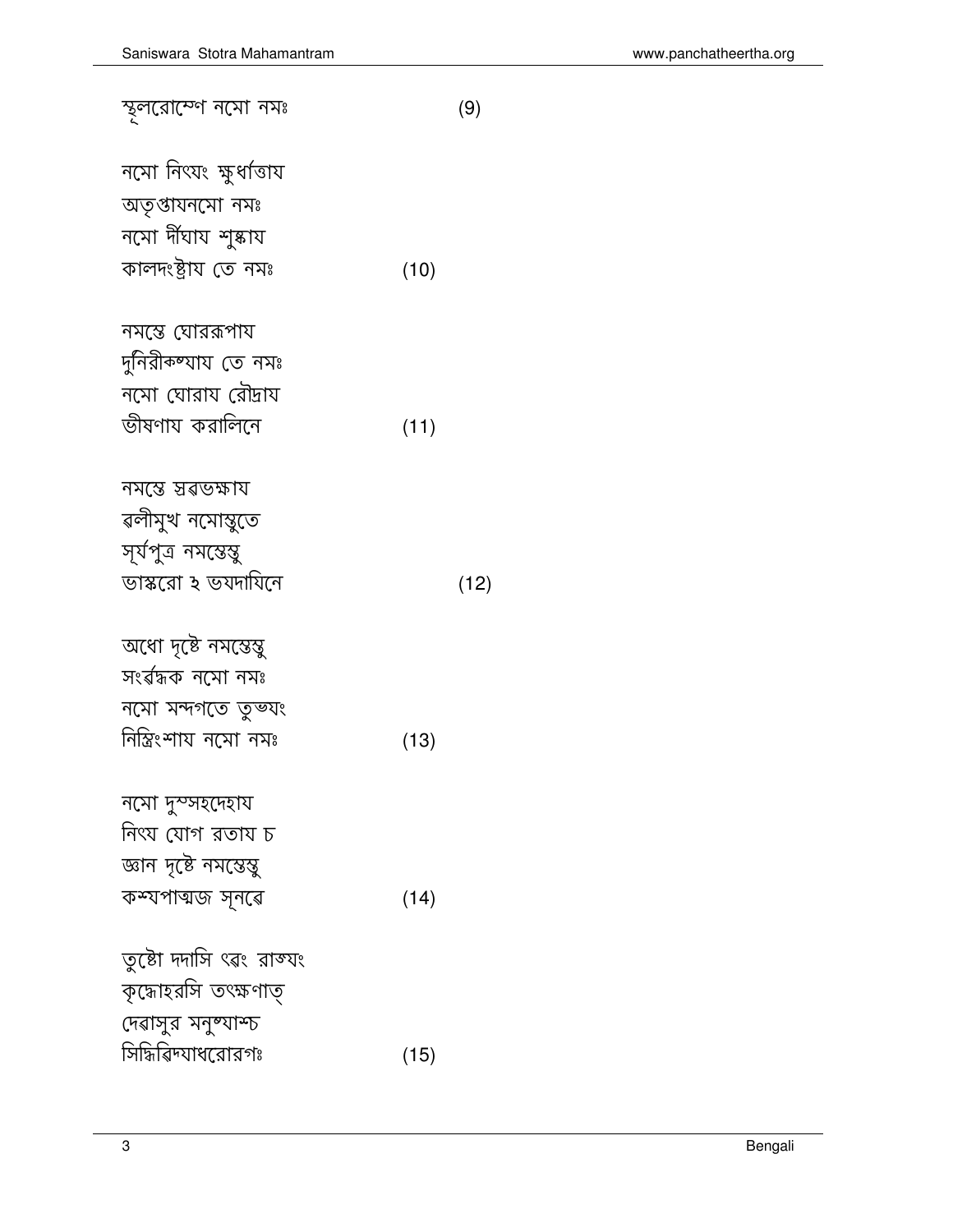| নমস্তে ঘোররূপায         |      |      |
|-------------------------|------|------|
| দুনিরীকষ্যায তে নমঃ     |      |      |
| নমো ঘোরায রৌদ্রায       |      |      |
| ভীষণায করালিনে          | (11) |      |
|                         |      |      |
| নমস্তে স্তৱভক্ষায       |      |      |
| ৱলীমুখ নমোস্তুতে        |      |      |
| সূৰ্যপুত্ৰ নমস্তেম্বু   |      |      |
| ভাস্করো ২ ভযদাযিনে      |      | (12) |
|                         |      |      |
| অধো দৃষ্টে নমন্তেম্বু   |      |      |
| সংৰ্ৱদ্ধক নমো নমঃ       |      |      |
| নমো মন্দগতে তুভযং       |      |      |
| নিস্তিংশায নমো নমঃ      | (13) |      |
|                         |      |      |
| নমো দুস্সহদেহায         |      |      |
| নিৎয যোগ রতায চ         |      |      |
| জ্ঞান দৃষ্টে নমস্তেস্তু |      |      |
| কশ্যপাত্মজ সূনৱে        | (14) |      |
|                         |      |      |
| তুষ্টো দদাসি ৎৱং রাজ্যং |      |      |
| কৃদ্ধোহরসি তৎক্ষণাত্    |      |      |
| দেৱাসুর মনুষ্যাশ্চ      |      |      |
| সিদ্ধিৱিদ্যাধরোরগঃ      | (15) |      |
|                         |      |      |

স্থূলরোস্পে নমো নমঃ

নমো নিংযং ক্ষুধ্<mark>ব</mark>িতায

অতৃপ্তাযনমো নমঃ

নমো দীঘায <mark>শু</mark>ষ্কায কালদংষ্ট্ৰায় তে নমঃ  $(9)$ 

 $(10)$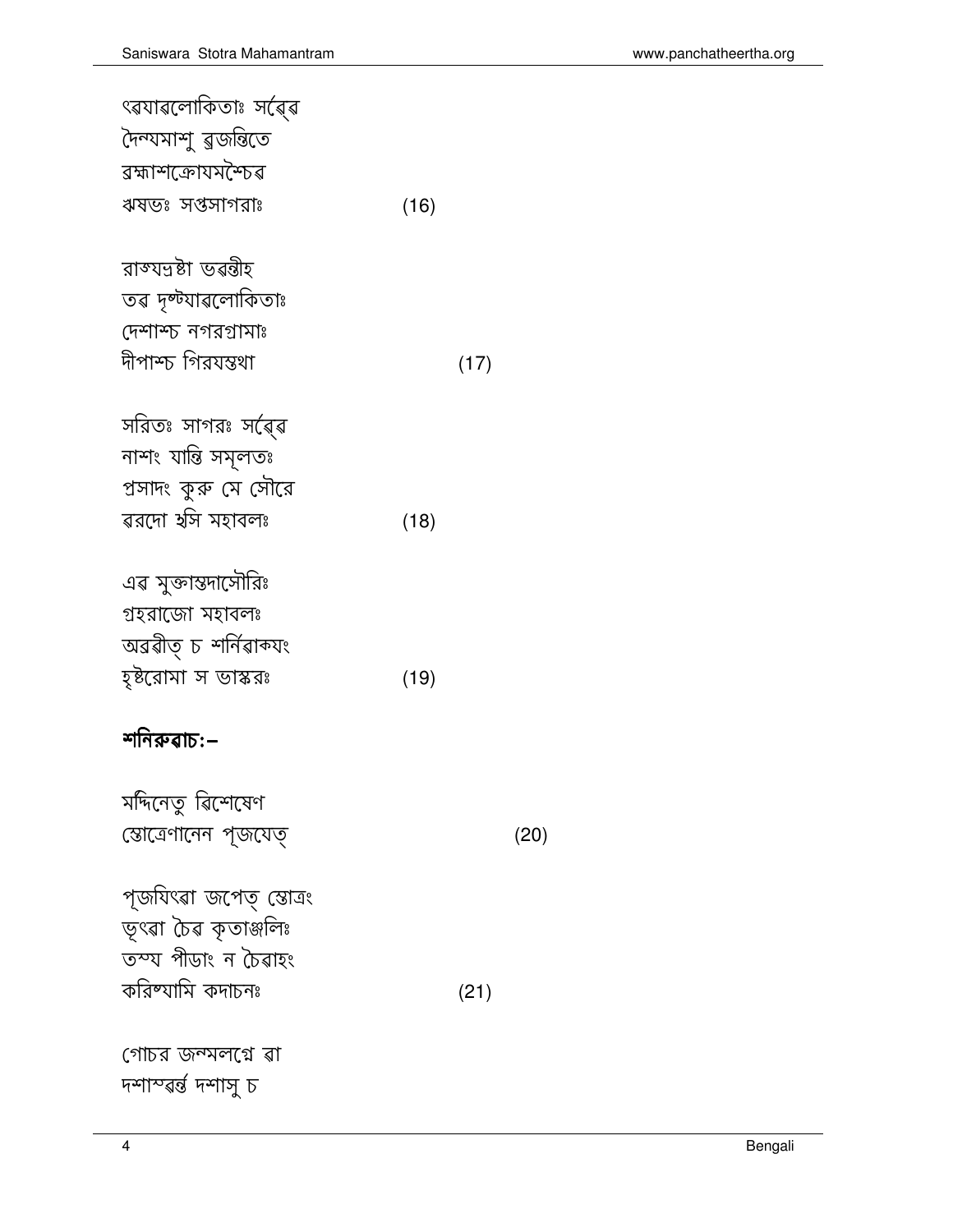পৃজযিৎৱা জপেত্ স্তোত্ৰং<br>ভূৎৱা চৈৱ কৃতাঞ্জলিঃ তস্য পীডাং ন চৈৱাহং করিষ্যামি কদাচনঃ

মদিনেতু ৱিশেষেণ জোত্রেণানেন প্জযেত্

## শনিৰুৱাচ:–

| এৱ মুক্তান্তদাসৌরিঃ  |      |
|----------------------|------|
| গ্ৰহরাজো মহাবলঃ      |      |
| অৱৱীত্ চ শৰ্নিৱাক্যং |      |
| হৃষ্টরোমা স ভাস্করঃ  | (19) |

| সরিতঃ সাগরঃ সর্ৱেৱ   |      |
|----------------------|------|
| নাশং যান্তি সমূলতঃ   |      |
| প্রসাদং কুরু সে সৌরে |      |
| ৱরদো র্যস মহাবলঃ     | (18) |

 $(17)$ 

 $(20)$ 

 $(21)$ 

| রাজ্যদ্রষ্টা ভৱন্তীহ |  |
|----------------------|--|
| তৱ দৃষ্ট্যাৱলোকিতাঃ  |  |
| দেশাস্চ নগরগ্রামাঃ   |  |
| দীপাশ্চ গিরযন্তথা    |  |

| ৎৱযাৱলোকিতাঃ সৰ্ৱেৱ |      |
|---------------------|------|
| দৈন্যমাশু ৱুজন্তিতে |      |
| ৱহ্মাশক্রোযমশ্চৈৱ   |      |
| ঋষভঃ সপ্তসাগরাঃ     | (16) |